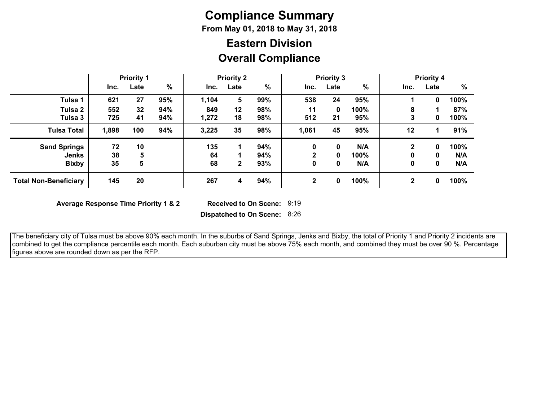# **Compliance Summary**

**From May 01, 2018 to May 31, 2018**

## **Overall Compliance Eastern Division**

|                              |       | <b>Priority 1</b> |               |       | <b>Priority 2</b> |     |              | <b>Priority 3</b> |      |              | <b>Priority 4</b> |      |
|------------------------------|-------|-------------------|---------------|-------|-------------------|-----|--------------|-------------------|------|--------------|-------------------|------|
|                              | Inc.  | Late              | $\frac{0}{0}$ | Inc.  | Late              | %   | Inc.         | Late              | %    | Inc.         | Late              | %    |
| Tulsa 1                      | 621   | 27                | 95%           | 1,104 | 5                 | 99% | 538          | 24                | 95%  |              | 0                 | 100% |
| Tulsa 2                      | 552   | 32                | 94%           | 849   | 12                | 98% | 11           | 0                 | 100% | 8            |                   | 87%  |
| Tulsa 3                      | 725   | 41                | 94%           | 1,272 | 18                | 98% | 512          | 21                | 95%  | 3            | 0                 | 100% |
| <b>Tulsa Total</b>           | 1,898 | 100               | 94%           | 3,225 | 35                | 98% | 1,061        | 45                | 95%  | 12           |                   | 91%  |
| <b>Sand Springs</b>          | 72    | 10                |               | 135   |                   | 94% | 0            | 0                 | N/A  | 2            | 0                 | 100% |
| <b>Jenks</b>                 | 38    | 5                 |               | 64    |                   | 94% | $\mathbf{2}$ | 0                 | 100% | 0            | 0                 | N/A  |
| <b>Bixby</b>                 | 35    | 5                 |               | 68    | $\mathbf{2}$      | 93% | 0            | 0                 | N/A  | 0            | 0                 | N/A  |
| <b>Total Non-Beneficiary</b> | 145   | 20                |               | 267   | 4                 | 94% | $\mathbf{2}$ | 0                 | 100% | $\mathbf{2}$ | 0                 | 100% |

**Average Response Time Priority 1 & 2** 

Received to On Scene: 9:19

**Dispatched to On Scene:** 8:26

 The beneficiary city of Tulsa must be above 90% each month. In the suburbs of Sand Springs, Jenks and Bixby, the total of Priority 1 and Priority 2 incidents are combined to get the compliance percentile each month. Each suburban city must be above 75% each month, and combined they must be over 90 %. Percentage figures above are rounded down as per the RFP.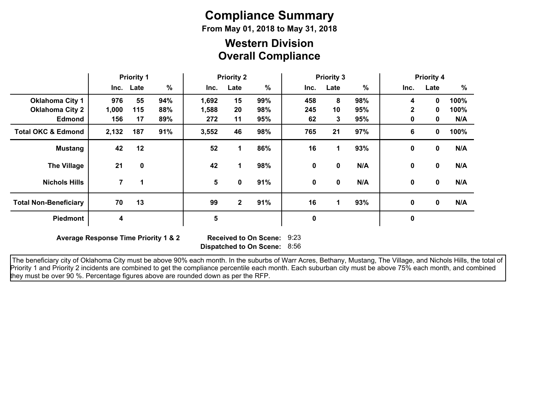# **Compliance Summary**

**From May 01, 2018 to May 31, 2018**

### **Overall Compliance Western Division**

|                               | <b>Priority 1</b> |             | <b>Priority 2</b> |       |              | <b>Priority 3</b> |      |             |     | <b>Priority 4</b> |             |      |
|-------------------------------|-------------------|-------------|-------------------|-------|--------------|-------------------|------|-------------|-----|-------------------|-------------|------|
|                               |                   | Inc. Late   | $\frac{9}{6}$     | Inc.  | Late         | $\%$              | Inc. | Late        | %   | Inc.              | Late        | %    |
| <b>Oklahoma City 1</b>        | 976               | 55          | 94%               | 1,692 | 15           | 99%               | 458  | 8           | 98% | 4                 | 0           | 100% |
| <b>Oklahoma City 2</b>        | 1,000             | 115         | 88%               | 1,588 | 20           | 98%               | 245  | 10          | 95% | $\mathbf{2}$      | 0           | 100% |
| <b>Edmond</b>                 | 156               | 17          | 89%               | 272   | 11           | 95%               | 62   | 3           | 95% | 0                 | 0           | N/A  |
| <b>Total OKC &amp; Edmond</b> | 2,132             | 187         | 91%               | 3,552 | 46           | 98%               | 765  | 21          | 97% | 6                 | 0           | 100% |
| <b>Mustang</b>                | 42                | 12          |                   | 52    | 1            | 86%               | 16   | 1           | 93% | 0                 | $\mathbf 0$ | N/A  |
| <b>The Village</b>            | 21                | $\mathbf 0$ |                   | 42    | 1            | 98%               | 0    | 0           | N/A | 0                 | $\mathbf 0$ | N/A  |
| <b>Nichols Hills</b>          | 7                 | $\mathbf 1$ |                   | 5     | 0            | 91%               | 0    | $\mathbf 0$ | N/A | 0                 | $\mathbf 0$ | N/A  |
| <b>Total Non-Beneficiary</b>  | 70                | 13          |                   | 99    | $\mathbf{2}$ | 91%               | 16   | 1           | 93% | 0                 | $\mathbf 0$ | N/A  |
| <b>Piedmont</b>               | 4                 |             |                   | 5     |              |                   | 0    |             |     | 0                 |             |      |

**Average Response Time Priority 1 & 2** 

**Dispatched to On Scene:** 8:56 Received to On Scene: 9:23

 The beneficiary city of Oklahoma City must be above 90% each month. In the suburbs of Warr Acres, Bethany, Mustang, The Village, and Nichols Hills, the total of Priority 1 and Priority 2 incidents are combined to get the compliance percentile each month. Each suburban city must be above 75% each month, and combined they must be over 90 %. Percentage figures above are rounded down as per the RFP.